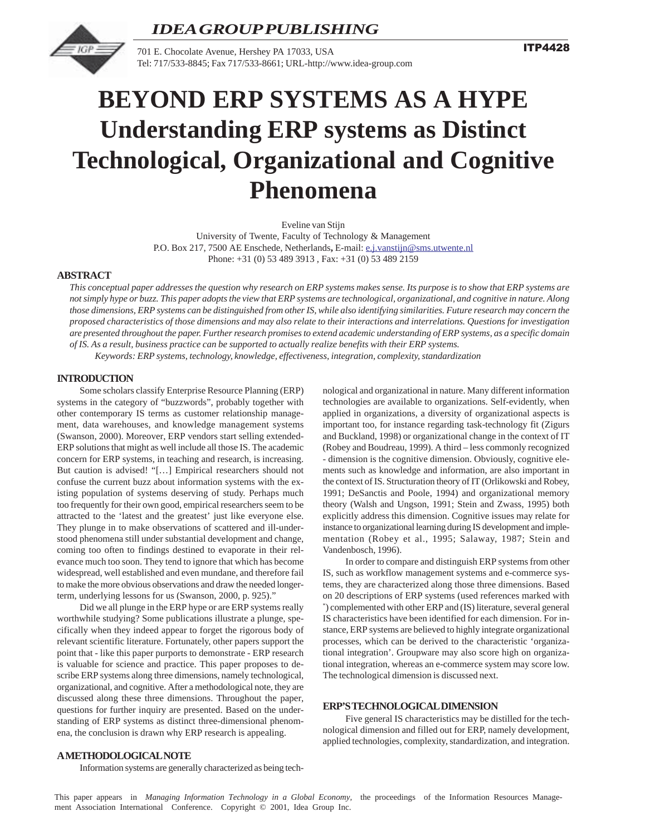# 502 • Managing Information Technology in a Global Economy *IDEA GROUP PUBLISHING*



701 E. Chocolate Avenue, Hershey PA 17033, USA Tel: 717/533-8845; Fax 717/533-8661; URL-http://www.idea-group.com

# **BEYOND ERP SYSTEMS AS A HYPE Understanding ERP systems as Distinct Technological, Organizational and Cognitive Phenomena**

Eveline van Stijn

University of Twente, Faculty of Technology & Management P.O. Box 217, 7500 AE Enschede, Netherlands**,** E-mail: e.j.vanstijn@sms.utwente.nl Phone: +31 (0) 53 489 3913 , Fax: +31 (0) 53 489 2159

#### **ABSTRACT**

*This conceptual paper addresses the question why research on ERP systems makes sense. Its purpose is to show that ERP systems are not simply hype or buzz. This paper adopts the view that ERP systems are technological, organizational, and cognitive in nature. Along those dimensions, ERP systems can be distinguished from other IS, while also identifying similarities. Future research may concern the proposed characteristics of those dimensions and may also relate to their interactions and interrelations. Questions for investigation are presented throughout the paper. Further research promises to extend academic understanding of ERP systems, as a specific domain of IS. As a result, business practice can be supported to actually realize benefits with their ERP systems.*

*Keywords: ERP systems, technology, knowledge, effectiveness, integration, complexity, standardization*

#### **INTRODUCTION**

Some scholars classify Enterprise Resource Planning (ERP) systems in the category of "buzzwords", probably together with other contemporary IS terms as customer relationship management, data warehouses, and knowledge management systems (Swanson, 2000). Moreover, ERP vendors start selling extended-ERP solutions that might as well include all those IS. The academic concern for ERP systems, in teaching and research, is increasing. But caution is advised! "[…] Empirical researchers should not confuse the current buzz about information systems with the existing population of systems deserving of study. Perhaps much too frequently for their own good, empirical researchers seem to be attracted to the 'latest and the greatest' just like everyone else. They plunge in to make observations of scattered and ill-understood phenomena still under substantial development and change, coming too often to findings destined to evaporate in their relevance much too soon. They tend to ignore that which has become widespread, well established and even mundane, and therefore fail to make the more obvious observations and draw the needed longerterm, underlying lessons for us (Swanson, 2000, p. 925)."

Did we all plunge in the ERP hype or are ERP systems really worthwhile studying? Some publications illustrate a plunge, specifically when they indeed appear to forget the rigorous body of relevant scientific literature. Fortunately, other papers support the point that - like this paper purports to demonstrate - ERP research is valuable for science and practice. This paper proposes to describe ERP systems along three dimensions, namely technological, organizational, and cognitive. After a methodological note, they are discussed along these three dimensions. Throughout the paper, questions for further inquiry are presented. Based on the understanding of ERP systems as distinct three-dimensional phenomena, the conclusion is drawn why ERP research is appealing.

nological and organizational in nature. Many different information technologies are available to organizations. Self-evidently, when applied in organizations, a diversity of organizational aspects is important too, for instance regarding task-technology fit (Zigurs and Buckland, 1998) or organizational change in the context of IT (Robey and Boudreau, 1999). A third – less commonly recognized - dimension is the cognitive dimension. Obviously, cognitive elements such as knowledge and information, are also important in the context of IS. Structuration theory of IT (Orlikowski and Robey, 1991; DeSanctis and Poole, 1994) and organizational memory theory (Walsh and Ungson, 1991; Stein and Zwass, 1995) both explicitly address this dimension. Cognitive issues may relate for instance to organizational learning during IS development and implementation (Robey et al., 1995; Salaway, 1987; Stein and Vandenbosch, 1996).

In order to compare and distinguish ERP systems from other IS, such as workflow management systems and e-commerce systems, they are characterized along those three dimensions. Based on 20 descriptions of ERP systems (used references marked with \* ) complemented with other ERP and (IS) literature, several general IS characteristics have been identified for each dimension. For instance, ERP systems are believed to highly integrate organizational processes, which can be derived to the characteristic 'organizational integration'. Groupware may also score high on organizational integration, whereas an e-commerce system may score low. The technological dimension is discussed next.

#### **ERP'S TECHNOLOGICAL DIMENSION**

Five general IS characteristics may be distilled for the technological dimension and filled out for ERP, namely development, applied technologies, complexity, standardization, and integration.

## **A METHODOLOGICAL NOTE**

Information systems are generally characterized as being tech-

This paper appears in *Managing Information Technology in a Global Economy,* the proceedings of the Information Resources Management Association International Conference. Copyright © 2001, Idea Group Inc.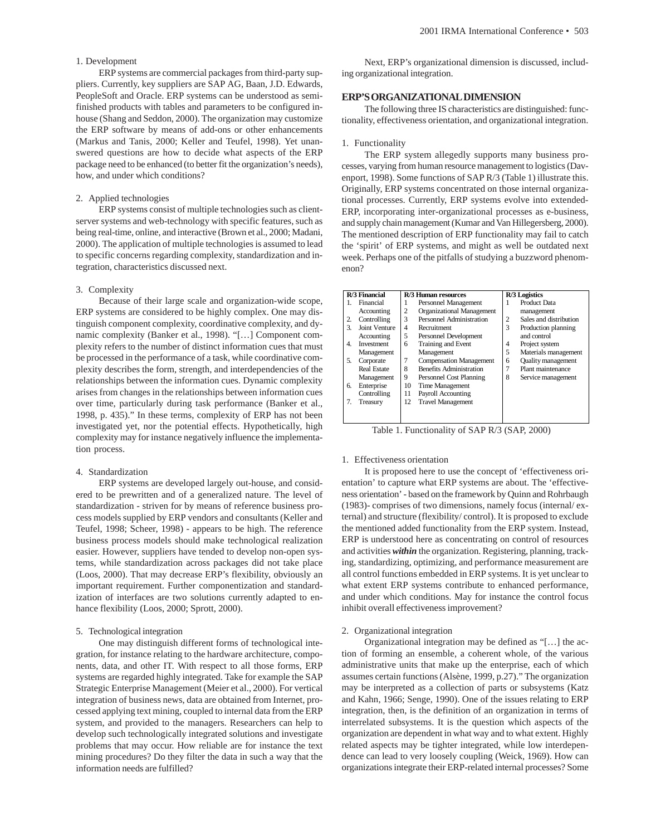#### 1. Development

ERP systems are commercial packages from third-party suppliers. Currently, key suppliers are SAP AG, Baan, J.D. Edwards, PeopleSoft and Oracle. ERP systems can be understood as semifinished products with tables and parameters to be configured inhouse (Shang and Seddon, 2000). The organization may customize the ERP software by means of add-ons or other enhancements (Markus and Tanis, 2000; Keller and Teufel, 1998). Yet unanswered questions are how to decide what aspects of the ERP package need to be enhanced (to better fit the organization's needs), how, and under which conditions?

#### 2. Applied technologies

ERP systems consist of multiple technologies such as clientserver systems and web-technology with specific features, such as being real-time, online, and interactive (Brown et al., 2000; Madani, 2000). The application of multiple technologies is assumed to lead to specific concerns regarding complexity, standardization and integration, characteristics discussed next.

#### 3. Complexity

Because of their large scale and organization-wide scope, ERP systems are considered to be highly complex. One may distinguish component complexity, coordinative complexity, and dynamic complexity (Banker et al., 1998). "[…] Component complexity refers to the number of distinct information cues that must be processed in the performance of a task, while coordinative complexity describes the form, strength, and interdependencies of the relationships between the information cues. Dynamic complexity arises from changes in the relationships between information cues over time, particularly during task performance (Banker et al., 1998, p. 435)." In these terms, complexity of ERP has not been investigated yet, nor the potential effects. Hypothetically, high complexity may for instance negatively influence the implementation process.

#### 4. Standardization

ERP systems are developed largely out-house, and considered to be prewritten and of a generalized nature. The level of standardization - striven for by means of reference business process models supplied by ERP vendors and consultants (Keller and Teufel, 1998; Scheer, 1998) - appears to be high. The reference business process models should make technological realization easier. However, suppliers have tended to develop non-open systems, while standardization across packages did not take place (Loos, 2000). That may decrease ERP's flexibility, obviously an important requirement. Further componentization and standardization of interfaces are two solutions currently adapted to enhance flexibility (Loos, 2000; Sprott, 2000).

#### 5. Technological integration

One may distinguish different forms of technological integration, for instance relating to the hardware architecture, components, data, and other IT. With respect to all those forms, ERP systems are regarded highly integrated. Take for example the SAP Strategic Enterprise Management (Meier et al., 2000). For vertical integration of business news, data are obtained from Internet, processed applying text mining, coupled to internal data from the ERP system, and provided to the managers. Researchers can help to develop such technologically integrated solutions and investigate problems that may occur. How reliable are for instance the text mining procedures? Do they filter the data in such a way that the information needs are fulfilled?

Next, ERP's organizational dimension is discussed, including organizational integration.

#### **ERP'S ORGANIZATIONAL DIMENSION**

The following three IS characteristics are distinguished: functionality, effectiveness orientation, and organizational integration.

#### 1. Functionality

The ERP system allegedly supports many business processes, varying from human resource management to logistics (Davenport, 1998). Some functions of SAP R/3 (Table 1) illustrate this. Originally, ERP systems concentrated on those internal organizational processes. Currently, ERP systems evolve into extended-ERP, incorporating inter-organizational processes as e-business, and supply chain management (Kumar and Van Hillegersberg, 2000). The mentioned description of ERP functionality may fail to catch the 'spirit' of ERP systems, and might as well be outdated next week. Perhaps one of the pitfalls of studying a buzzword phenomenon?

| R/3 Financial |               | R/3 Human resources |                                | R/3 Logistics |                           |
|---------------|---------------|---------------------|--------------------------------|---------------|---------------------------|
|               | Financial     |                     | Personnel Management           | 1             | Product Data              |
|               | Accounting    | $\overline{c}$      | Organizational Management      |               | management                |
| 2.            | Controlling   | ٩                   | Personnel Administration       | 2             | Sales and distribution    |
| 3             | Joint Venture | 4                   | Recruitment                    | 3             | Production planning       |
|               | Accounting    | 5                   | Personnel Development          |               | and control               |
| 4.            | Investment    | 6                   | Training and Event             | 4             | Project system            |
|               | Management    |                     | Management                     | 5             | Materials management      |
| 5.            | Corporate     | 7                   | <b>Compensation Management</b> | 6             | <b>Quality</b> management |
|               | Real Estate   | 8                   | <b>Benefits Administration</b> | 7             | Plant maintenance         |
|               | Management    | 9                   | Personnel Cost Planning        | 8             | Service management        |
| 6.            | Enterprise    | 10                  | Time Management                |               |                           |
|               | Controlling   | 11                  | Payroll Accounting             |               |                           |
| 7.            | Treasury      | 12                  | <b>Travel Management</b>       |               |                           |
|               |               |                     |                                |               |                           |
|               |               |                     |                                |               |                           |

Table 1. Functionality of SAP R/3 (SAP, 2000)

#### 1. Effectiveness orientation

It is proposed here to use the concept of 'effectiveness orientation' to capture what ERP systems are about. The 'effectiveness orientation' - based on the framework by Quinn and Rohrbaugh (1983)- comprises of two dimensions, namely focus (internal/ external) and structure (flexibility/ control). It is proposed to exclude the mentioned added functionality from the ERP system. Instead, ERP is understood here as concentrating on control of resources and activities *within* the organization. Registering, planning, tracking, standardizing, optimizing, and performance measurement are all control functions embedded in ERP systems. It is yet unclear to what extent ERP systems contribute to enhanced performance, and under which conditions. May for instance the control focus inhibit overall effectiveness improvement?

#### 2. Organizational integration

Organizational integration may be defined as "[…] the action of forming an ensemble, a coherent whole, of the various administrative units that make up the enterprise, each of which assumes certain functions (Alsène, 1999, p.27)." The organization may be interpreted as a collection of parts or subsystems (Katz and Kahn, 1966; Senge, 1990). One of the issues relating to ERP integration, then, is the definition of an organization in terms of interrelated subsystems. It is the question which aspects of the organization are dependent in what way and to what extent. Highly related aspects may be tighter integrated, while low interdependence can lead to very loosely coupling (Weick, 1969). How can organizations integrate their ERP-related internal processes? Some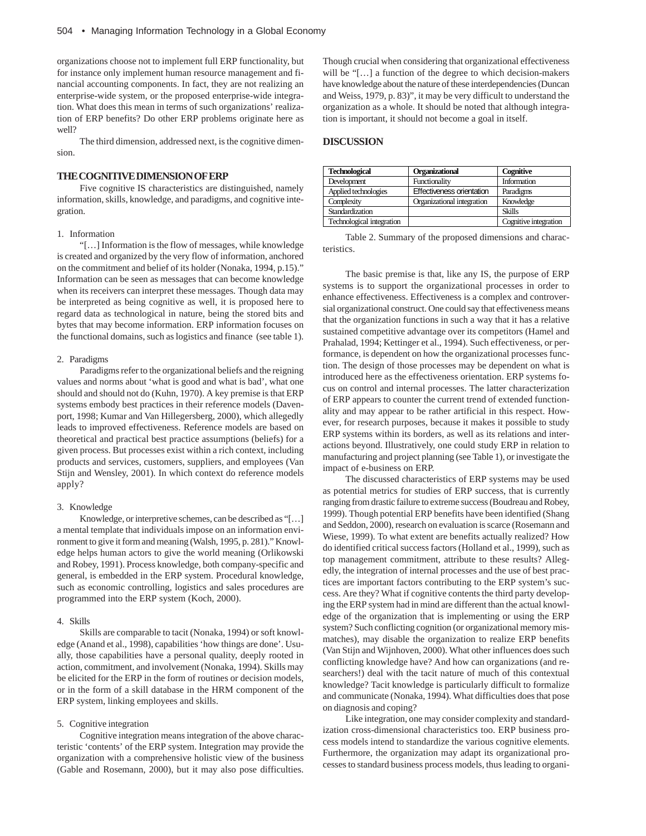organizations choose not to implement full ERP functionality, but for instance only implement human resource management and financial accounting components. In fact, they are not realizing an enterprise-wide system, or the proposed enterprise-wide integration. What does this mean in terms of such organizations' realization of ERP benefits? Do other ERP problems originate here as well?

The third dimension, addressed next, is the cognitive dimension.

#### **THE COGNITIVE DIMENSION OF ERP**

Five cognitive IS characteristics are distinguished, namely information, skills, knowledge, and paradigms, and cognitive integration.

#### 1. Information

"[…] Information is the flow of messages, while knowledge is created and organized by the very flow of information, anchored on the commitment and belief of its holder (Nonaka, 1994, p.15)." Information can be seen as messages that can become knowledge when its receivers can interpret these messages*.* Though data may be interpreted as being cognitive as well, it is proposed here to regard data as technological in nature, being the stored bits and bytes that may become information. ERP information focuses on the functional domains, such as logistics and finance (see table 1).

#### 2. Paradigms

Paradigms refer to the organizational beliefs and the reigning values and norms about 'what is good and what is bad', what one should and should not do (Kuhn, 1970). A key premise is that ERP systems embody best practices in their reference models (Davenport, 1998; Kumar and Van Hillegersberg, 2000), which allegedly leads to improved effectiveness. Reference models are based on theoretical and practical best practice assumptions (beliefs) for a given process. But processes exist within a rich context, including products and services, customers, suppliers, and employees (Van Stijn and Wensley, 2001). In which context do reference models apply?

#### 3. Knowledge

Knowledge, or interpretive schemes, can be described as "[…] a mental template that individuals impose on an information environment to give it form and meaning (Walsh, 1995, p. 281)." Knowledge helps human actors to give the world meaning (Orlikowski and Robey, 1991). Process knowledge, both company-specific and general, is embedded in the ERP system. Procedural knowledge, such as economic controlling, logistics and sales procedures are programmed into the ERP system (Koch, 2000).

#### 4. Skills

Skills are comparable to tacit (Nonaka, 1994) or soft knowledge (Anand et al., 1998), capabilities 'how things are done'. Usually, those capabilities have a personal quality, deeply rooted in action, commitment, and involvement (Nonaka, 1994). Skills may be elicited for the ERP in the form of routines or decision models, or in the form of a skill database in the HRM component of the ERP system, linking employees and skills.

#### 5. Cognitive integration

Cognitive integration means integration of the above characteristic 'contents' of the ERP system. Integration may provide the organization with a comprehensive holistic view of the business (Gable and Rosemann, 2000), but it may also pose difficulties. Though crucial when considering that organizational effectiveness will be "[...] a function of the degree to which decision-makers have knowledge about the nature of these interdependencies (Duncan and Weiss, 1979, p. 83)", it may be very difficult to understand the organization as a whole. It should be noted that although integration is important, it should not become a goal in itself.

## **DISCUSSION**

| <b>Technological</b>      | <b>Organizational</b>      | Cognitive             |
|---------------------------|----------------------------|-----------------------|
| Development               | Functionality              | Information           |
| Applied technologies      | Effectiveness orientation  | Paradigms             |
| Complexity                | Organizational integration | Knowledge             |
| Standardization           |                            | Skills                |
| Technological integration |                            | Cognitive integration |

Table 2. Summary of the proposed dimensions and characteristics.

The basic premise is that, like any IS, the purpose of ERP systems is to support the organizational processes in order to enhance effectiveness. Effectiveness is a complex and controversial organizational construct. One could say that effectiveness means that the organization functions in such a way that it has a relative sustained competitive advantage over its competitors (Hamel and Prahalad, 1994; Kettinger et al., 1994). Such effectiveness, or performance, is dependent on how the organizational processes function. The design of those processes may be dependent on what is introduced here as the effectiveness orientation. ERP systems focus on control and internal processes. The latter characterization of ERP appears to counter the current trend of extended functionality and may appear to be rather artificial in this respect. However, for research purposes, because it makes it possible to study ERP systems within its borders, as well as its relations and interactions beyond. Illustratively, one could study ERP in relation to manufacturing and project planning (see Table 1), or investigate the impact of e-business on ERP.

The discussed characteristics of ERP systems may be used as potential metrics for studies of ERP success, that is currently ranging from drastic failure to extreme success (Boudreau and Robey, 1999). Though potential ERP benefits have been identified (Shang and Seddon, 2000), research on evaluation is scarce (Rosemann and Wiese, 1999). To what extent are benefits actually realized? How do identified critical success factors (Holland et al., 1999), such as top management commitment, attribute to these results? Allegedly, the integration of internal processes and the use of best practices are important factors contributing to the ERP system's success. Are they? What if cognitive contents the third party developing the ERP system had in mind are different than the actual knowledge of the organization that is implementing or using the ERP system? Such conflicting cognition (or organizational memory mismatches), may disable the organization to realize ERP benefits (Van Stijn and Wijnhoven, 2000). What other influences does such conflicting knowledge have? And how can organizations (and researchers!) deal with the tacit nature of much of this contextual knowledge? Tacit knowledge is particularly difficult to formalize and communicate (Nonaka, 1994). What difficulties does that pose on diagnosis and coping?

Like integration, one may consider complexity and standardization cross-dimensional characteristics too. ERP business process models intend to standardize the various cognitive elements. Furthermore, the organization may adapt its organizational processes to standard business process models, thus leading to organi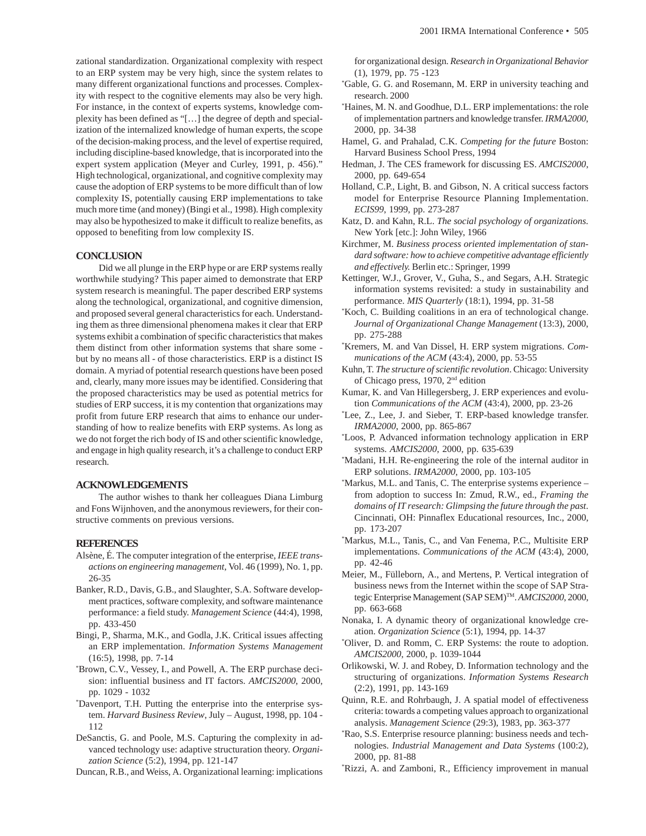zational standardization. Organizational complexity with respect to an ERP system may be very high, since the system relates to many different organizational functions and processes. Complexity with respect to the cognitive elements may also be very high. For instance, in the context of experts systems, knowledge complexity has been defined as "[…] the degree of depth and specialization of the internalized knowledge of human experts, the scope of the decision-making process, and the level of expertise required, including discipline-based knowledge, that is incorporated into the expert system application (Meyer and Curley, 1991, p. 456)." High technological, organizational, and cognitive complexity may cause the adoption of ERP systems to be more difficult than of low complexity IS, potentially causing ERP implementations to take much more time (and money) (Bingi et al., 1998). High complexity may also be hypothesized to make it difficult to realize benefits, as opposed to benefiting from low complexity IS.

#### **CONCLUSION**

Did we all plunge in the ERP hype or are ERP systems really worthwhile studying? This paper aimed to demonstrate that ERP system research is meaningful. The paper described ERP systems along the technological, organizational, and cognitive dimension, and proposed several general characteristics for each. Understanding them as three dimensional phenomena makes it clear that ERP systems exhibit a combination of specific characteristics that makes them distinct from other information systems that share some but by no means all - of those characteristics. ERP is a distinct IS domain. A myriad of potential research questions have been posed and, clearly, many more issues may be identified. Considering that the proposed characteristics may be used as potential metrics for studies of ERP success, it is my contention that organizations may profit from future ERP research that aims to enhance our understanding of how to realize benefits with ERP systems. As long as we do not forget the rich body of IS and other scientific knowledge, and engage in high quality research, it's a challenge to conduct ERP research.

#### **ACKNOWLEDGEMENTS**

The author wishes to thank her colleagues Diana Limburg and Fons Wijnhoven, and the anonymous reviewers, for their constructive comments on previous versions.

#### **REFERENCES**

- Alsène, É. The computer integration of the enterprise, *IEEE transactions on engineering management*, Vol. 46 (1999), No. 1, pp. 26-35
- Banker, R.D., Davis, G.B., and Slaughter, S.A. Software development practices, software complexity, and software maintenance performance: a field study. *Management Science* (44:4), 1998, pp. 433-450
- Bingi, P., Sharma, M.K., and Godla, J.K. Critical issues affecting an ERP implementation. *Information Systems Management* (16:5), 1998, pp. 7-14
- \* Brown, C.V., Vessey, I., and Powell, A. The ERP purchase decision: influential business and IT factors. *AMCIS2000*, 2000, pp. 1029 - 1032
- \* Davenport, T.H. Putting the enterprise into the enterprise system. *Harvard Business Review*, July – August, 1998, pp. 104 - 112
- DeSanctis, G. and Poole, M.S. Capturing the complexity in advanced technology use: adaptive structuration theory. *Organization Science* (5:2), 1994, pp. 121-147

Duncan, R.B., and Weiss, A. Organizational learning: implications

for organizational design. *Research in Organizational Behavior* (1), 1979, pp. 75 -123

- \* Gable, G. G. and Rosemann, M. ERP in university teaching and research. 2000
- \* Haines, M. N. and Goodhue, D.L. ERP implementations: the role of implementation partners and knowledge transfer. *IRMA2000*, 2000, pp. 34-38
- Hamel, G. and Prahalad, C.K. *Competing for the future* Boston: Harvard Business School Press, 1994
- Hedman, J. The CES framework for discussing ES. *AMCIS2000*, 2000, pp. 649-654
- Holland, C.P., Light, B. and Gibson, N. A critical success factors model for Enterprise Resource Planning Implementation. *ECIS99*, 1999, pp. 273-287
- Katz, D. and Kahn, R.L. *The social psychology of organizations.* New York [etc.]: John Wiley, 1966
- Kirchmer, M. *Business process oriented implementation of standard software: how to achieve competitive advantage efficiently and effectively.* Berlin etc.: Springer, 1999
- Kettinger, W.J., Grover, V., Guha, S., and Segars, A.H. Strategic information systems revisited: a study in sustainability and performance. *MIS Quarterly* (18:1), 1994, pp. 31-58
- \* Koch, C. Building coalitions in an era of technological change. *Journal of Organizational Change Management* (13:3), 2000, pp. 275-288
- \* Kremers, M. and Van Dissel, H. ERP system migrations. *Communications of the ACM* (43:4), 2000, pp. 53-55
- Kuhn, T. *The structure of scientific revolution*. Chicago: University of Chicago press, 1970, 2nd edition
- Kumar, K. and Van Hillegersberg, J. ERP experiences and evolution *Communications of the ACM* (43:4), 2000, pp. 23-26
- \* Lee, Z., Lee, J. and Sieber, T. ERP-based knowledge transfer. *IRMA2000*, 2000, pp. 865-867
- \* Loos, P. Advanced information technology application in ERP systems. *AMCIS2000*, 2000, pp. 635-639
- \* Madani, H.H. Re-engineering the role of the internal auditor in ERP solutions. *IRMA2000*, 2000, pp. 103-105
- \* Markus, M.L. and Tanis, C. The enterprise systems experience from adoption to success In: Zmud, R.W., ed., *Framing the domains of IT research: Glimpsing the future through the past*. Cincinnati, OH: Pinnaflex Educational resources, Inc., 2000, pp. 173-207
- \* Markus, M.L., Tanis, C., and Van Fenema, P.C., Multisite ERP implementations. *Communications of the ACM* (43:4), 2000, pp. 42-46
- Meier, M., Fülleborn, A., and Mertens, P. Vertical integration of business news from the Internet within the scope of SAP Strategic Enterprise Management (SAP SEM)TM. *AMCIS2000*, 2000, pp. 663-668
- Nonaka, I. A dynamic theory of organizational knowledge creation. *Organization Science* (5:1), 1994, pp. 14-37
- \* Oliver, D. and Romm, C. ERP Systems: the route to adoption. *AMCIS2000*, 2000, p. 1039-1044
- Orlikowski, W. J. and Robey, D. Information technology and the structuring of organizations. *Information Systems Research* (2:2), 1991, pp. 143-169
- Quinn, R.E. and Rohrbaugh, J. A spatial model of effectiveness criteria: towards a competing values approach to organizational analysis. *Management Science* (29:3), 1983, pp. 363-377
- \* Rao, S.S. Enterprise resource planning: business needs and technologies. *Industrial Management and Data Systems* (100:2), 2000, pp. 81-88
- \* Rizzi, A. and Zamboni, R., Efficiency improvement in manual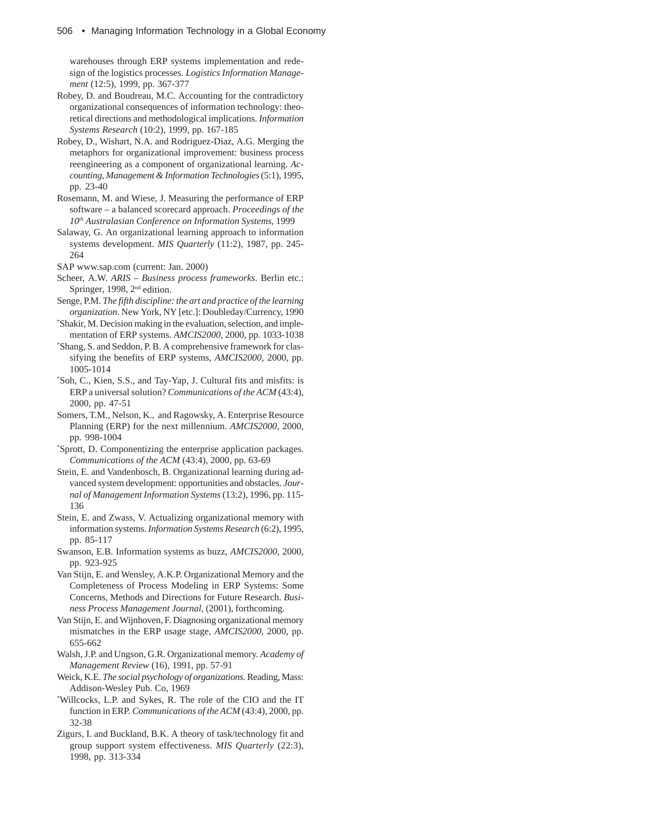warehouses through ERP systems implementation and redesign of the logistics processes. *Logistics Information Management* (12:5), 1999, pp. 367-377

- Robey, D. and Boudreau, M.C. Accounting for the contradictory organizational consequences of information technology: theoretical directions and methodological implications. *Information Systems Research* (10:2), 1999, pp. 167-185
- Robey, D., Wishart, N.A. and Rodriguez-Diaz, A.G. Merging the metaphors for organizational improvement: business process reengineering as a component of organizational learning. *Accounting, Management & Information Technologies* (5:1), 1995, pp. 23-40
- Rosemann, M. and Wiese, J. Measuring the performance of ERP software – a balanced scorecard approach. *Proceedings of the 10th Australasian Conference on Information Systems*, 1999
- Salaway, G. An organizational learning approach to information systems development. *MIS Quarterly* (11:2), 1987, pp. 245- 264
- SAP www.sap.com (current: Jan. 2000)
- Scheer, A.W. *ARIS Business process frameworks*. Berlin etc.: Springer, 1998, 2<sup>nd</sup> edition.
- Senge, P.M. *The fifth discipline: the art and practice of the learning organization*. New York, NY [etc.]: Doubleday/Currency, 1990
- \* Shakir, M. Decision making in the evaluation, selection, and implementation of ERP systems. *AMCIS2000*, 2000, pp. 1033-1038
- \* Shang, S. and Seddon, P. B. A comprehensive framework for classifying the benefits of ERP systems, *AMCIS2000*, 2000, pp. 1005-1014
- \* Soh, C., Kien, S.S., and Tay-Yap, J. Cultural fits and misfits: is ERP a universal solution? *Communications of the ACM* (43:4), 2000, pp. 47-51
- Somers, T.M., Nelson, K., and Ragowsky, A. Enterprise Resource Planning (ERP) for the next millennium. *AMCIS2000*, 2000, pp. 998-1004
- \* Sprott, D. Componentizing the enterprise application packages. *Communications of the ACM* (43:4), 2000, pp. 63-69
- Stein, E. and Vandenbosch, B. Organizational learning during advanced system development: opportunities and obstacles. *Journal of Management Information Systems* (13:2), 1996, pp. 115- 136
- Stein, E. and Zwass, V. Actualizing organizational memory with information systems. *Information Systems Research* (6:2), 1995, pp. 85-117
- Swanson, E.B. Information systems as buzz, *AMCIS2000*, 2000, pp. 923-925
- Van Stijn, E. and Wensley, A.K.P. Organizational Memory and the Completeness of Process Modeling in ERP Systems: Some Concerns, Methods and Directions for Future Research. *Business Process Management Journal*, (2001), forthcoming.
- Van Stijn, E. and Wijnhoven, F. Diagnosing organizational memory mismatches in the ERP usage stage, *AMCIS2000*, 2000, pp. 655-662
- Walsh, J.P. and Ungson, G.R. Organizational memory. *Academy of Management Review* (16), 1991, pp. 57-91
- Weick, K.E. *The social psychology of organizations.* Reading, Mass: Addison-Wesley Pub. Co, 1969
- \* Willcocks, L.P. and Sykes, R. The role of the CIO and the IT function in ERP. *Communications of the ACM* (43:4), 2000, pp. 32-38
- Zigurs, I. and Buckland, B.K. A theory of task/technology fit and group support system effectiveness. *MIS Quarterly* (22:3), 1998, pp. 313-334